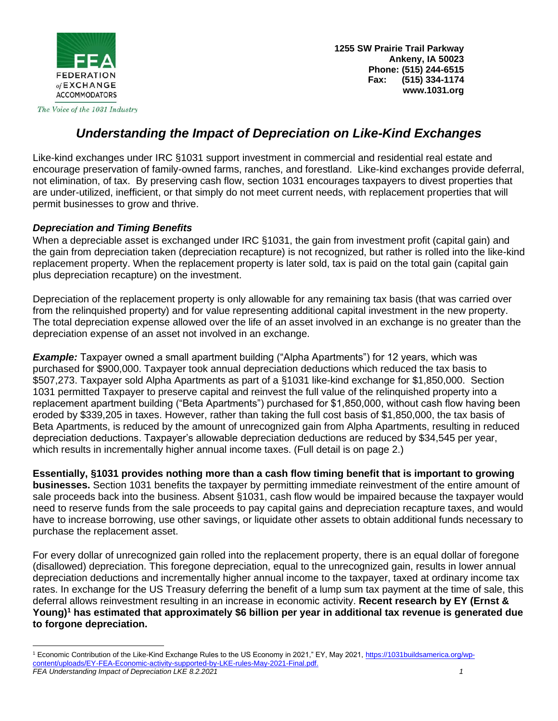

**1255 SW Prairie Trail Parkway Ankeny, IA 50023 Phone: (515) 244-6515 Fax: (515) 334-1174 www.1031.org**

The Voice of the 1031 Industry

## *Understanding the Impact of Depreciation on Like-Kind Exchanges*

Like-kind exchanges under IRC §1031 support investment in commercial and residential real estate and encourage preservation of family-owned farms, ranches, and forestland. Like-kind exchanges provide deferral, not elimination, of tax. By preserving cash flow, section 1031 encourages taxpayers to divest properties that are under-utilized, inefficient, or that simply do not meet current needs, with replacement properties that will permit businesses to grow and thrive.

## *Depreciation and Timing Benefits*

When a depreciable asset is exchanged under IRC §1031, the gain from investment profit (capital gain) and the gain from depreciation taken (depreciation recapture) is not recognized, but rather is rolled into the like-kind replacement property. When the replacement property is later sold, tax is paid on the total gain (capital gain plus depreciation recapture) on the investment.

Depreciation of the replacement property is only allowable for any remaining tax basis (that was carried over from the relinquished property) and for value representing additional capital investment in the new property. The total depreciation expense allowed over the life of an asset involved in an exchange is no greater than the depreciation expense of an asset not involved in an exchange.

*Example:* Taxpayer owned a small apartment building ("Alpha Apartments") for 12 years, which was purchased for \$900,000. Taxpayer took annual depreciation deductions which reduced the tax basis to \$507,273. Taxpayer sold Alpha Apartments as part of a §1031 like-kind exchange for \$1,850,000. Section 1031 permitted Taxpayer to preserve capital and reinvest the full value of the relinquished property into a replacement apartment building ("Beta Apartments") purchased for \$1,850,000, without cash flow having been eroded by \$339,205 in taxes. However, rather than taking the full cost basis of \$1,850,000, the tax basis of Beta Apartments, is reduced by the amount of unrecognized gain from Alpha Apartments, resulting in reduced depreciation deductions. Taxpayer's allowable depreciation deductions are reduced by \$34,545 per year, which results in incrementally higher annual income taxes. (Full detail is on page 2.)

**Essentially, §1031 provides nothing more than a cash flow timing benefit that is important to growing businesses.** Section 1031 benefits the taxpayer by permitting immediate reinvestment of the entire amount of sale proceeds back into the business. Absent §1031, cash flow would be impaired because the taxpayer would need to reserve funds from the sale proceeds to pay capital gains and depreciation recapture taxes, and would have to increase borrowing, use other savings, or liquidate other assets to obtain additional funds necessary to purchase the replacement asset.

For every dollar of unrecognized gain rolled into the replacement property, there is an equal dollar of foregone (disallowed) depreciation. This foregone depreciation, equal to the unrecognized gain, results in lower annual depreciation deductions and incrementally higher annual income to the taxpayer, taxed at ordinary income tax rates. In exchange for the US Treasury deferring the benefit of a lump sum tax payment at the time of sale, this deferral allows reinvestment resulting in an increase in economic activity. **Recent research by EY (Ernst & Young)<sup>1</sup> has estimated that approximately \$6 billion per year in additional tax revenue is generated due to forgone depreciation.** 

*FEA Understanding Impact of Depreciation LKE 8.2.2021 1* <sup>1</sup> Economic Contribution of the Like-Kind Exchange Rules to the US Economy in 2021," EY, May 2021, [https://1031buildsamerica.org/wp](https://1031buildsamerica.org/wp-content/uploads/EY-FEA-Economic-activity-supported-by-LKE-rules-May-2021-Final.pdf)[content/uploads/EY-FEA-Economic-activity-supported-by-LKE-rules-May-2021-Final.pdf.](https://1031buildsamerica.org/wp-content/uploads/EY-FEA-Economic-activity-supported-by-LKE-rules-May-2021-Final.pdf)